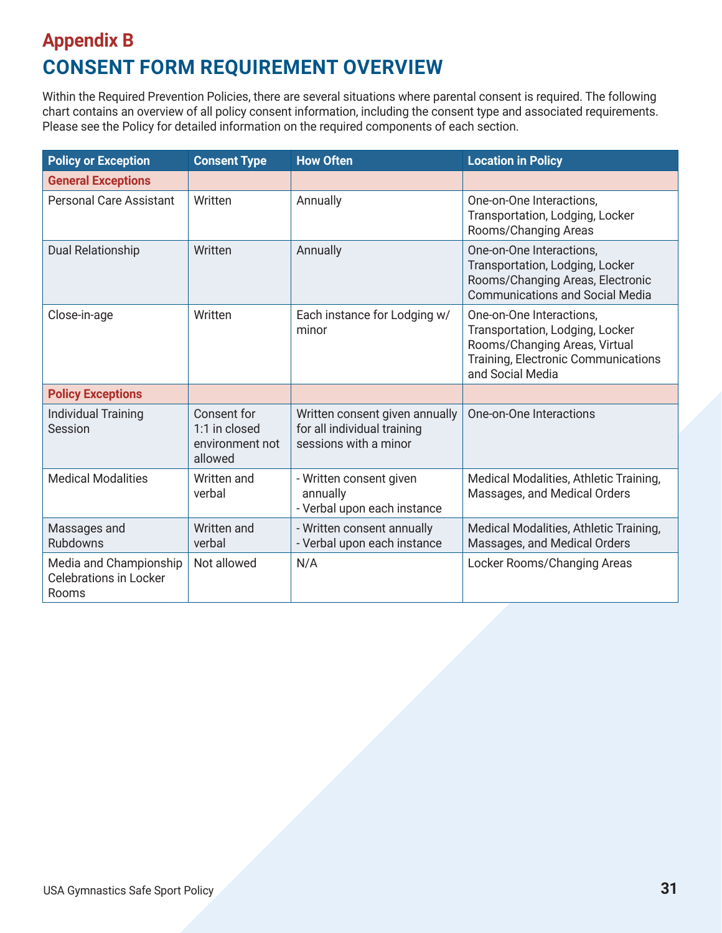## **Appendix B CONSENT FORM REQUIREMENT OVERVIEW**

Within the Required Prevention Policies, there are several situations where parental consent is required. The following chart contains an overview of all policy consent information, including the consent type and associated requirements. Please see the Policy for detailed information on the required components of each section.

| <b>Policy or Exception</b>                                       | <b>Consent Type</b>                                        | <b>How Often</b>                                                                       | <b>Location in Policy</b>                                                                                                                               |
|------------------------------------------------------------------|------------------------------------------------------------|----------------------------------------------------------------------------------------|---------------------------------------------------------------------------------------------------------------------------------------------------------|
| <b>General Exceptions</b>                                        |                                                            |                                                                                        |                                                                                                                                                         |
| <b>Personal Care Assistant</b>                                   | Written                                                    | Annually                                                                               | One-on-One Interactions.<br>Transportation, Lodging, Locker<br>Rooms/Changing Areas                                                                     |
| <b>Dual Relationship</b>                                         | Written                                                    | Annually                                                                               | One-on-One Interactions,<br>Transportation, Lodging, Locker<br>Rooms/Changing Areas, Electronic<br><b>Communications and Social Media</b>               |
| Close-in-age                                                     | Written                                                    | Each instance for Lodging w/<br>minor                                                  | One-on-One Interactions,<br>Transportation, Lodging, Locker<br>Rooms/Changing Areas, Virtual<br>Training, Electronic Communications<br>and Social Media |
| <b>Policy Exceptions</b>                                         |                                                            |                                                                                        |                                                                                                                                                         |
| <b>Individual Training</b><br>Session                            | Consent for<br>1:1 in closed<br>environment not<br>allowed | Written consent given annually<br>for all individual training<br>sessions with a minor | One-on-One Interactions                                                                                                                                 |
| <b>Medical Modalities</b>                                        | Written and<br>verbal                                      | - Written consent given<br>annually<br>- Verbal upon each instance                     | Medical Modalities, Athletic Training,<br>Massages, and Medical Orders                                                                                  |
| Massages and<br><b>Rubdowns</b>                                  | Written and<br>verbal                                      | - Written consent annually<br>- Verbal upon each instance                              | Medical Modalities, Athletic Training,<br>Massages, and Medical Orders                                                                                  |
| Media and Championship<br><b>Celebrations in Locker</b><br>Rooms | Not allowed                                                | N/A                                                                                    | Locker Rooms/Changing Areas                                                                                                                             |